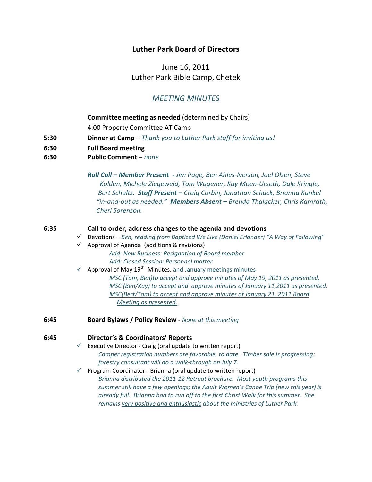# **Luther Park Board of Directors**

June 16, 2011 Luther Park Bible Camp, Chetek

# *MEETING MINUTES*

## **Committee meeting as needed** (determined by Chairs)

 4:00 Property Committee AT Camp

- **5:30 Dinner at Camp –** *Thank you to Luther Park staff for inviting us!*
- **6:30 Full Board meeting**
- **6:30 Public Comment –** *none*

 *Roll Call – Member Present ‐ Jim Page, Ben Ahles‐Iverson, Joel Olsen, Steve Kolden, Michele Ziegeweid, Tom Wagener, Kay Moen‐Urseth, Dale Kringle, Bert Schultz. Staff Present – Craig Corbin, Jonathan Schack, Brianna Kunkel*  "in-and-out as needed." Members Absent - Brenda Thalacker, Chris Kamrath,  *Cheri Sorenson.*

## **6:35 Call to order, address changes to the agenda and devotions**

- 9 Devotions *Ben, reading from Baptized We Live (Daniel Erlander) "A Way of Following"*
- $\checkmark$  Approval of Agenda (additions & revisions) *Add: New Business: Resignation of Board member Add: Closed Session: Personnel matter*
- $\checkmark$  Approval of May 19<sup>th</sup> Minutes, and January meetings minutes *MSC (Tom, Ben)to accept and approve minutes of May 19, 2011 as presented. MSC (Ben/Kay) to accept and approve minutes of January 11,2011 as presented. MSC(Bert/Tom) to accept and approve minutes of January 21, 2011 Board Meeting as presented.*
- **6:45 Board Bylaws / Policy Review ‐** *None at this meeting*

## **6:45 Director's & Coordinators' Reports**

- $\checkmark$  Executive Director Craig (oral update to written report) *Camper registration numbers are favorable, to date. Timber sale is progressing: forestry consultant will do a walk‐through on July 7.*
- $\checkmark$  Program Coordinator Brianna (oral update to written report) *Brianna distributed the 2011‐12 Retreat brochure. Most youth programs this summer still have a few openings; the Adult Women's Canoe Trip (new this year) is already full. Brianna had to run off to the first Christ Walk for this summer. She remains very positive and enthusiastic about the ministries of Luther Park.*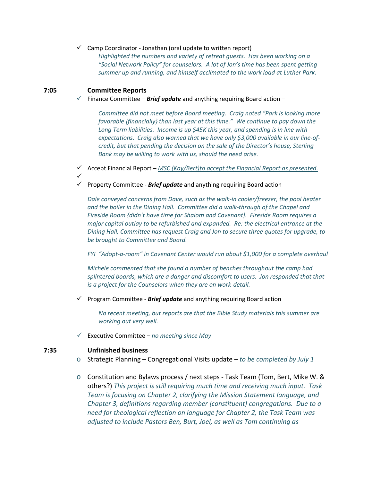#### $\checkmark$  Camp Coordinator - Jonathan (oral update to written report)

*Highlighted the numbers and variety of retreat guests. Has been working on a "Social Network Policy" for counselors. A lot of Jon's time has been spent getting summer up and running, and himself acclimated to the work load at Luther Park.*

## **7:05 Committee Reports**

 $\checkmark$  Finance Committee – **Brief update** and anything requiring Board action –

*Committee did not meet before Board meeting. Craig noted "Park is looking more favorable {financially} than last year at this time." We continue to pay down the Long Term liabilities. Income is up \$45K this year, and spending is in line with expectations. Craig also warned that we have only \$3,000 available in our line‐of‐ credit, but that pending the decision on the sale of the Director's house, Sterling Bank may be willing to work with us, should the need arise.*

- 9 Accept Financial Report *MSC (Kay/Bert)to accept the Financial Report as presented.*  $\checkmark$
- 9 Property Committee ‐ *Brief update* and anything requiring Board action

*Dale conveyed concerns from Dave, such as the walk‐in cooler/freezer, the pool heater and the boiler in the Dining Hall. Committee did a walk‐through of the Chapel and Fireside Room {didn't have time for Shalom and Covenant}. Fireside Room requires a major capital outlay to be refurbished and expanded. Re: the electrical entrance at the Dining Hall, Committee has request Craig and Jon to secure three quotes for upgrade, to be brought to Committee and Board.*

*FYI "Adopt‐a‐room" in Covenant Center would run about \$1,000 for a complete overhaul*

*Michele commented that she found a number of benches throughout the camp had splintered boards, which are a danger and discomfort to users. Jon responded that that is a project for the Counselors when they are on work‐detail.*

9 Program Committee ‐ *Brief update* and anything requiring Board action

*No recent meeting, but reports are that the Bible Study materials this summer are working out very well.*

9 Executive Committee – *no meeting since May*

#### **7:35 Unfinished business**

- o Strategic Planning Congregational Visits update *to be completed by July 1*
- o Constitution and Bylaws process / next steps ‐ Task Team (Tom, Bert, Mike W. & others?) *This project is still requiring much time and receiving much input. Task Team is focusing on Chapter 2, clarifying the Mission Statement language, and Chapter 3, definitions regarding member {constituent} congregations. Due to a need for theological reflection on language for Chapter 2, the Task Team was adjusted to include Pastors Ben, Burt, Joel, as well as Tom continuing as*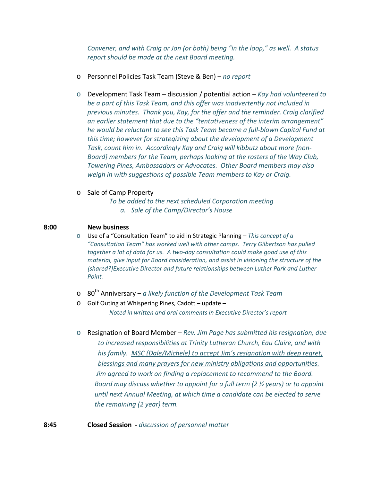*Convener, and with Craig or Jon (or both) being "in the loop," as well. A status report should be made at the next Board meeting.* 

- o Personnel Policies Task Team (Steve & Ben) *no report*
- o Development Task Team discussion / potential action *Kay had volunteered to be a part of this Task Team, and this offer was inadvertently not included in previous minutes. Thank you, Kay, for the offer and the reminder. Craig clarified an earlier statement that due to the "tentativeness of the interim arrangement" he would be reluctant to see this Task Team become a full‐blown Capital Fund at this time; however for strategizing about the development of a Development Task, count him in. Accordingly Kay and Craig will kibbutz about more {non‐ Board} members for the Team, perhaps looking at the rosters of the Way Club, Towering Pines, Ambassadors or Advocates. Other Board members may also weigh in with suggestions of possible Team members to Kay or Craig.*
- o Sale of Camp Property

*To be added to the next scheduled Corporation meeting a. Sale of the Camp/Director's House*

### **8:00 New business**

o Use of a "Consultation Team" to aid in Strategic Planning – *This concept of a "Consultation Team" has worked well with other camps. Terry Gilbertson has pulled together a lot of data for us. A two‐day consultation could make good use of this material, give input for Board consideration, and assist in visioning the structure of the {shared?}Executive Director and future relationships between Luther Park and Luther*  $Point.$ 

- o 80th Anniversary *a likely function of the Development Task Team*
- o Golf Outing at Whispering Pines, Cadott update *Noted in written and oral comments in Executive Director's report*
- o Resignation of Board Member *Rev. Jim Page has submitted his resignation, due to increased responsibilities at Trinity Lutheran Church, Eau Claire, and with his family. MSC (Dale/Michele) to accept Jim's resignation with deep regret, blessings and many prayers for new ministry obligations and opportunities. Jim agreed to work on finding a replacement to recommend to the Board. Board may discuss whether to appoint for a full term (2 ½ years) or to appoint until next Annual Meeting, at which time a candidate can be elected to serve the remaining (2 year) term.*

**8:45 Closed Session ‐** *discussion of personnel matter*